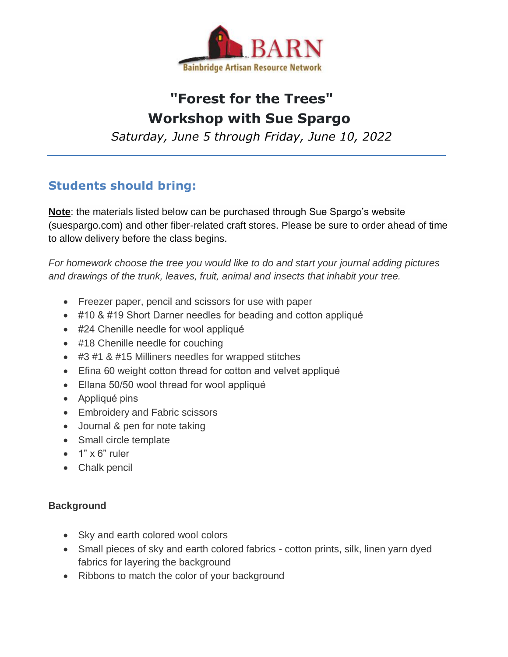

# **"Forest for the Trees" Workshop with Sue Spargo**

*Saturday, June 5 through Friday, June 10, 2022*

## **Students should bring:**

**Note**: the materials listed below can be purchased through Sue Spargo's website (suespargo.com) and other fiber-related craft stores. Please be sure to order ahead of time to allow delivery before the class begins.

*For homework choose the tree you would like to do and start your journal adding pictures and drawings of the trunk, leaves, fruit, animal and insects that inhabit your tree.*

- Freezer paper, pencil and scissors for use with paper
- #10 & #19 Short Darner needles for beading and cotton appliqué
- #24 Chenille needle for wool appliqué
- #18 Chenille needle for couching
- #3 #1 & #15 Milliners needles for wrapped stitches
- Efina 60 weight cotton thread for cotton and velvet appliqué
- Ellana 50/50 wool thread for wool appliqué
- Appliqué pins
- Embroidery and Fabric scissors
- Journal & pen for note taking
- Small circle template
- $\bullet$  1" x 6" ruler
- Chalk pencil

### **Background**

- Sky and earth colored wool colors
- Small pieces of sky and earth colored fabrics cotton prints, silk, linen yarn dyed fabrics for layering the background
- Ribbons to match the color of your background